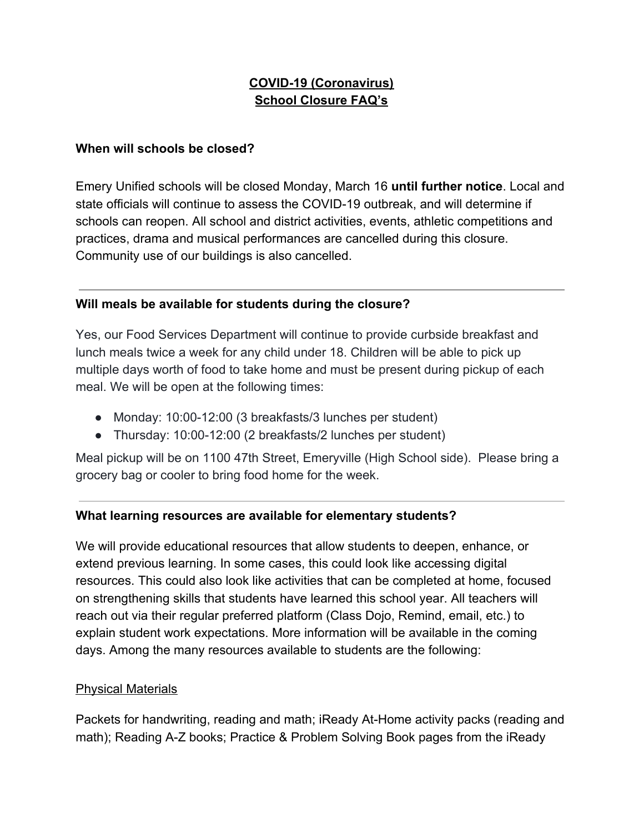# **COVID-19 (Coronavirus) School Closure FAQ's**

#### **When will schools be closed?**

Emery Unified schools will be closed Monday, March 16 **until further notice**. Local and state officials will continue to assess the COVID-19 outbreak, and will determine if schools can reopen. All school and district activities, events, athletic competitions and practices, drama and musical performances are cancelled during this closure. Community use of our buildings is also cancelled.

## **Will meals be available for students during the closure?**

Yes, our Food Services Department will continue to provide curbside breakfast and lunch meals twice a week for any child under 18. Children will be able to pick up multiple days worth of food to take home and must be present during pickup of each meal. We will be open at the following times:

- Monday: 10:00-12:00 (3 breakfasts/3 lunches per student)
- Thursday: 10:00-12:00 (2 breakfasts/2 lunches per student)

Meal pickup will be on 1100 47th Street, Emeryville (High School side). Please bring a grocery bag or cooler to bring food home for the week.

# **What learning resources are available for elementary students?**

We will provide educational resources that allow students to deepen, enhance, or extend previous learning. In some cases, this could look like accessing digital resources. This could also look like activities that can be completed at home, focused on strengthening skills that students have learned this school year. All teachers will reach out via their regular preferred platform (Class Dojo, Remind, email, etc.) to explain student work expectations. More information will be available in the coming days. Among the many resources available to students are the following:

### Physical Materials

Packets for handwriting, reading and math; iReady At-Home activity packs (reading and math); Reading A-Z books; Practice & Problem Solving Book pages from the iReady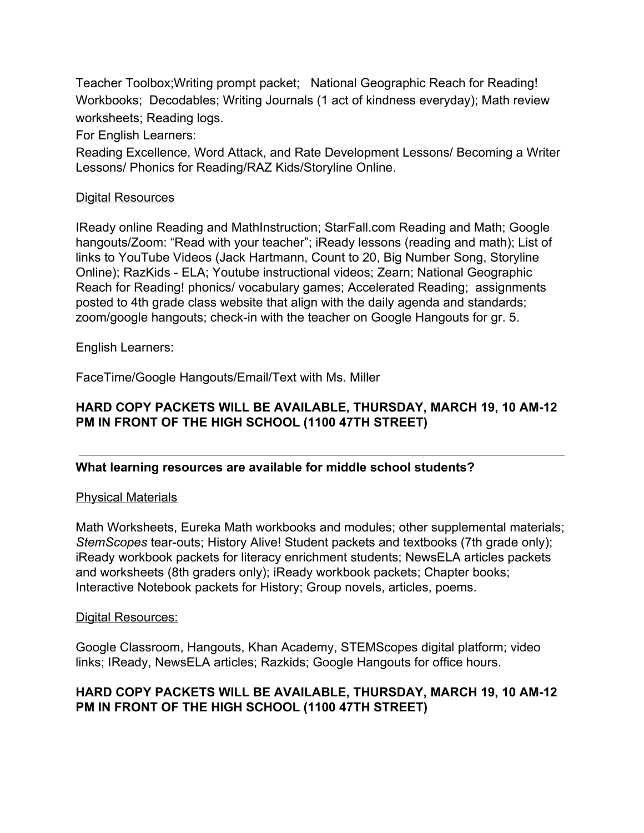Teacher Toolbox;Writing prompt packet; National Geographic Reach for Reading! Workbooks; Decodables; Writing Journals (1 act of kindness everyday); Math review worksheets; Reading logs.

For English Learners:

Reading Excellence, Word Attack, and Rate Development Lessons/ Becoming a Writer Lessons/ Phonics for Reading/RAZ Kids/Storyline Online.

#### Digital Resources

IReady online Reading and MathInstruction; StarFall.com Reading and Math; Google hangouts/Zoom: "Read with your teacher"; iReady lessons (reading and math); List of links to YouTube Videos (Jack Hartmann, Count to 20, Big Number Song, Storyline Online); RazKids - ELA; Youtube instructional videos; Zearn; National Geographic Reach for Reading! phonics/ vocabulary games; Accelerated Reading; assignments posted to 4th grade class website that align with the daily agenda and standards; zoom/google hangouts; check-in with the teacher on Google Hangouts for gr. 5.

English Learners:

FaceTime/Google Hangouts/Email/Text with Ms. Miller

### **HARD COPY PACKETS WILL BE AVAILABLE, THURSDAY, MARCH 19, 10 AM-12 PM IN FRONT OF THE HIGH SCHOOL (1100 47TH STREET)**

### **What learning resources are available for middle school students?**

#### Physical Materials

Math Worksheets, Eureka Math workbooks and modules; other supplemental materials; *StemScopes* tear-outs; History Alive! Student packets and textbooks (7th grade only); iReady workbook packets for literacy enrichment students; NewsELA articles packets and worksheets (8th graders only); iReady workbook packets; Chapter books; Interactive Notebook packets for History; Group novels, articles, poems.

#### Digital Resources:

Google Classroom, Hangouts, Khan Academy, STEMScopes digital platform; video links; IReady, NewsELA articles; Razkids; Google Hangouts for office hours.

### **HARD COPY PACKETS WILL BE AVAILABLE, THURSDAY, MARCH 19, 10 AM-12 PM IN FRONT OF THE HIGH SCHOOL (1100 47TH STREET)**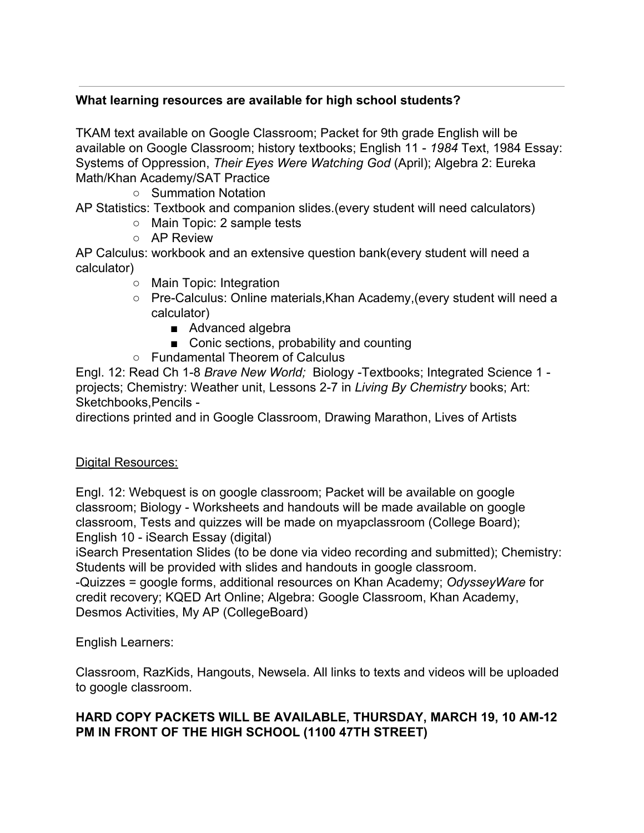## **What learning resources are available for high school students?**

TKAM text available on Google Classroom; Packet for 9th grade English will be available on Google Classroom; history textbooks; English 11 - *1984* Text, 1984 Essay: Systems of Oppression, *Their Eyes Were Watching God* (April); Algebra 2: Eureka Math/Khan Academy/SAT Practice

○ Summation Notation

AP Statistics: Textbook and companion slides.(every student will need calculators)

- Main Topic: 2 sample tests
- AP Review

AP Calculus: workbook and an extensive question bank(every student will need a calculator)

- Main Topic: Integration
- Pre-Calculus: Online materials,Khan Academy,(every student will need a calculator)
	- Advanced algebra
	- Conic sections, probability and counting
- Fundamental Theorem of Calculus

Engl. 12: Read Ch 1-8 *Brave New World;* Biology -Textbooks; Integrated Science 1 projects; Chemistry: Weather unit, Lessons 2-7 in *Living By Chemistry* books; Art: Sketchbooks,Pencils -

directions printed and in Google Classroom, Drawing Marathon, Lives of Artists

### Digital Resources:

Engl. 12: Webquest is on google classroom; Packet will be available on google classroom; Biology - Worksheets and handouts will be made available on google classroom, Tests and quizzes will be made on myapclassroom (College Board); English 10 - iSearch Essay (digital)

iSearch Presentation Slides (to be done via video recording and submitted); Chemistry: Students will be provided with slides and handouts in google classroom.

-Quizzes = google forms, additional resources on Khan Academy; *OdysseyWare* for credit recovery; KQED Art Online; Algebra: Google Classroom, Khan Academy, Desmos Activities, My AP (CollegeBoard)

English Learners:

Classroom, RazKids, Hangouts, Newsela. All links to texts and videos will be uploaded to google classroom.

# **HARD COPY PACKETS WILL BE AVAILABLE, THURSDAY, MARCH 19, 10 AM-12 PM IN FRONT OF THE HIGH SCHOOL (1100 47TH STREET)**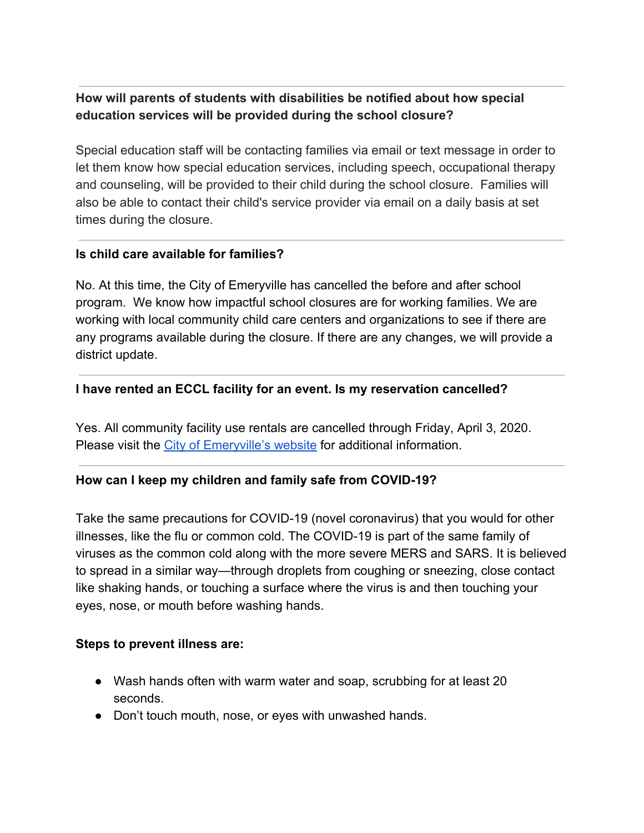# **How will parents of students with disabilities be notified about how special education services will be provided during the school closure?**

Special education staff will be contacting families via email or text message in order to let them know how special education services, including speech, occupational therapy and counseling, will be provided to their child during the school closure. Families will also be able to contact their child's service provider via email on a daily basis at set times during the closure.

### **Is child care available for families?**

No. At this time, the City of Emeryville has cancelled the before and after school program. We know how impactful school closures are for working families. We are working with local community child care centers and organizations to see if there are any programs available during the closure. If there are any changes, we will provide a district update.

### **I have rented an ECCL facility for an event. Is my reservation cancelled?**

Yes. All community facility use rentals are cancelled through Friday, April 3, 2020. Please visit the [City of Emeryville's website](https://www.ci.emeryville.ca.us/202/Indoor-Facility-Rentals) for additional information.

### **How can I keep my children and family safe from COVID-19?**

Take the same precautions for COVID-19 (novel coronavirus) that you would for other illnesses, like the flu or common cold. The COVID-19 is part of the same family of viruses as the common cold along with the more severe MERS and SARS. It is believed to spread in a similar way—through droplets from coughing or sneezing, close contact like shaking hands, or touching a surface where the virus is and then touching your eyes, nose, or mouth before washing hands.

### **Steps to prevent illness are:**

- Wash hands often with warm water and soap, scrubbing for at least 20 seconds.
- Don't touch mouth, nose, or eyes with unwashed hands.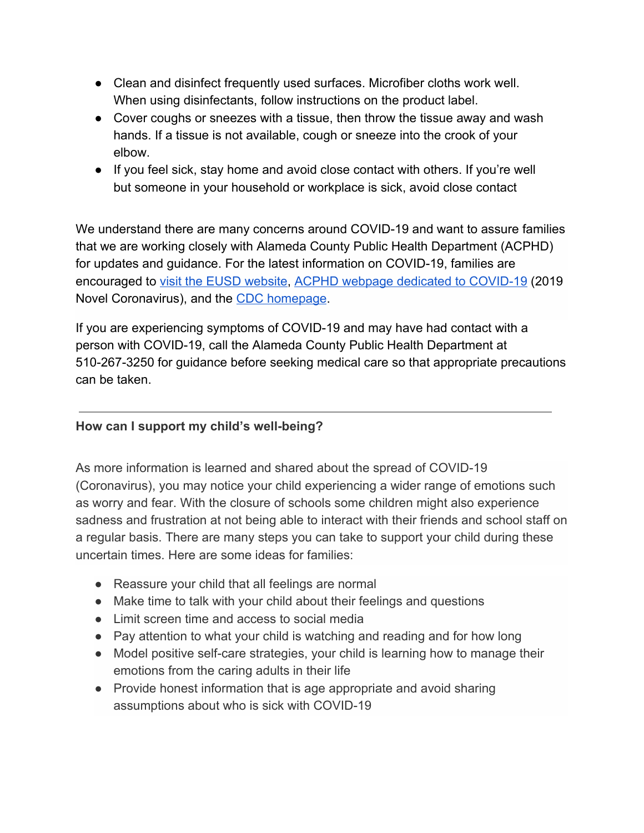- Clean and disinfect frequently used surfaces. Microfiber cloths work well. When using disinfectants, follow instructions on the product label.
- Cover coughs or sneezes with a tissue, then throw the tissue away and wash hands. If a tissue is not available, cough or sneeze into the crook of your elbow.
- If you feel sick, stay home and avoid close contact with others. If you're well but someone in your household or workplace is sick, avoid close contact

We understand there are many concerns around COVID-19 and want to assure families that we are working closely with Alameda County Public Health Department (ACPHD) for updates and guidance. For the latest information on COVID-19, families are encouraged to [visit the EUSD website,](http://emeryusd.k12.ca.us/blog/category/covid-19/) [ACPHD webpage dedicated to COVID-19](http://acphd.org/2019-ncov.aspx) (2019 Novel Coronavirus), and the [CDC homepage](https://www.cdc.gov/coronavirus/2019-ncov/index.html).

If you are experiencing symptoms of COVID-19 and may have had contact with a person with COVID-19, call the Alameda County Public Health Department at 510-267-3250 for guidance before seeking medical care so that appropriate precautions can be taken.

### **How can I support my child's well-being?**

As more information is learned and shared about the spread of COVID-19 (Coronavirus), you may notice your child experiencing a wider range of emotions such as worry and fear. With the closure of schools some children might also experience sadness and frustration at not being able to interact with their friends and school staff on a regular basis. There are many steps you can take to support your child during these uncertain times. Here are some ideas for families:

- Reassure your child that all feelings are normal
- Make time to talk with your child about their feelings and questions
- Limit screen time and access to social media
- Pay attention to what your child is watching and reading and for how long
- Model positive self-care strategies, your child is learning how to manage their emotions from the caring adults in their life
- Provide honest information that is age appropriate and avoid sharing assumptions about who is sick with COVID-19